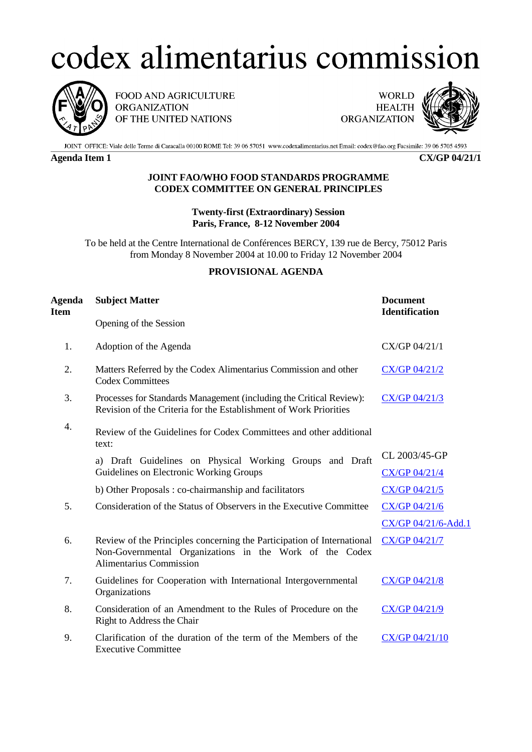## codex alimentarius commission



FOOD AND AGRICULTURE **ORGANIZATION** OF THE UNITED NATIONS

**WORLD HEALTH** ORGANIZATION



JOINT OFFICE: Viale delle Terme di Caracalla 00100 ROME Tel: 39 06 57051 www.codexalimentarius.net Email: codex@fao.org Facsimile: 39 06 5705 4593

**Agenda Item 1 CX/GP 04/21/1**

## **JOINT FAO/WHO FOOD STANDARDS PROGRAMME CODEX COMMITTEE ON GENERAL PRINCIPLES**

**Twenty-first (Extraordinary) Session Paris, France, 8-12 November 2004**

To be held at the Centre International de Conférences BERCY, 139 rue de Bercy, 75012 Paris from Monday 8 November 2004 at 10.00 to Friday 12 November 2004

## **PROVISIONAL AGENDA**

| <b>Agenda</b><br><b>Item</b> | <b>Subject Matter</b>                                                                                                                                               | <b>Document</b><br><b>Identification</b> |
|------------------------------|---------------------------------------------------------------------------------------------------------------------------------------------------------------------|------------------------------------------|
|                              | Opening of the Session                                                                                                                                              |                                          |
| 1.                           | Adoption of the Agenda                                                                                                                                              | CX/GP 04/21/1                            |
| 2.                           | Matters Referred by the Codex Alimentarius Commission and other<br><b>Codex Committees</b>                                                                          | CX/GP 04/21/2                            |
| 3.                           | Processes for Standards Management (including the Critical Review):<br>Revision of the Criteria for the Establishment of Work Priorities                            | CX/GP 04/21/3                            |
| 4.                           | Review of the Guidelines for Codex Committees and other additional<br>text:                                                                                         |                                          |
|                              | a) Draft Guidelines on Physical Working Groups and Draft<br>Guidelines on Electronic Working Groups                                                                 | CL 2003/45-GP                            |
|                              |                                                                                                                                                                     | CX/GP 04/21/4                            |
|                              | b) Other Proposals: co-chairmanship and facilitators                                                                                                                | CX/GP 04/21/5                            |
| 5.                           | Consideration of the Status of Observers in the Executive Committee                                                                                                 | $CX/GP$ 04/21/6                          |
|                              |                                                                                                                                                                     | CX/GP 04/21/6-Add.1                      |
| 6.                           | Review of the Principles concerning the Participation of International<br>Non-Governmental Organizations in the Work of the Codex<br><b>Alimentarius Commission</b> | CX/GP 04/21/7                            |
| 7.                           | Guidelines for Cooperation with International Intergovernmental<br>Organizations                                                                                    | CX/GP 04/21/8                            |
| 8.                           | Consideration of an Amendment to the Rules of Procedure on the<br>Right to Address the Chair                                                                        | CX/GP 04/21/9                            |
| 9.                           | Clarification of the duration of the term of the Members of the<br><b>Executive Committee</b>                                                                       | CX/GP 04/21/10                           |